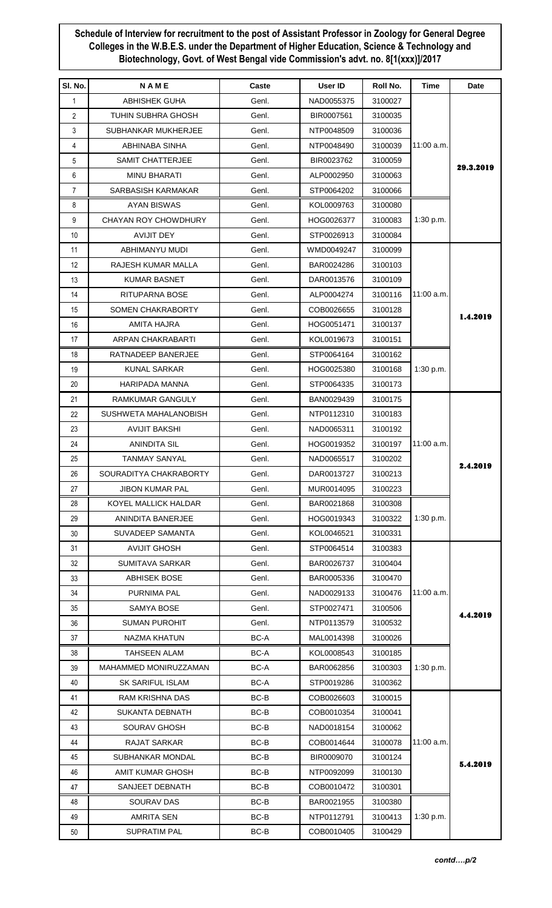## **Schedule of Interview for recruitment to the post of Assistant Professor in Zoology for General Degree Colleges in the W.B.E.S. under the Department of Higher Education, Science & Technology and Biotechnology, Govt. of West Bengal vide Commission's advt. no. 8[1(xxx)]/2017**

| SI. No.        | NAME                   | Caste          | User ID    | Roll No.           | Time         | Date      |
|----------------|------------------------|----------------|------------|--------------------|--------------|-----------|
| $\mathbf{1}$   | ABHISHEK GUHA          | Genl.          | NAD0055375 | 3100027            |              |           |
| $\overline{2}$ | TUHIN SUBHRA GHOSH     | Genl.          | BIR0007561 | 3100035            |              |           |
| 3              | SUBHANKAR MUKHERJEE    | Genl.          | NTP0048509 | 3100036            |              |           |
| 4              | ABHINABA SINHA         | Genl.          | NTP0048490 | 3100039            | 11:00 a.m.   |           |
| 5              | SAMIT CHATTERJEE       | Genl.          | BIR0023762 | 3100059            |              |           |
| 6              | MINU BHARATI           | Genl.          | ALP0002950 | 3100063            |              | 29.3.2019 |
| $\overline{7}$ | SARBASISH KARMAKAR     | Genl.          | STP0064202 | 3100066            |              |           |
| 8              | <b>AYAN BISWAS</b>     | Genl.          | KOL0009763 | 3100080            |              |           |
| 9              | CHAYAN ROY CHOWDHURY   | Genl.          | HOG0026377 | 3100083            | 1:30 p.m.    |           |
| 10             | <b>AVIJIT DEY</b>      | Genl.          | STP0026913 | 3100084            |              |           |
| 11             | ABHIMANYU MUDI         | Genl.          | WMD0049247 | 3100099            |              |           |
| 12             | RAJESH KUMAR MALLA     | Genl.          | BAR0024286 | 3100103            |              |           |
| 13             | KUMAR BASNET           | Genl.          | DAR0013576 | 3100109            |              |           |
| 14             | RITUPARNA BOSE         | Genl.          | ALP0004274 | 3100116            | $11:00$ a.m. |           |
| 15             | SOMEN CHAKRABORTY      | Genl.          | COB0026655 | 3100128            |              |           |
| 16             | AMITA HAJRA            | Genl.          | HOG0051471 | 3100137            |              | 1.4.2019  |
| 17             | ARPAN CHAKRABARTI      | Genl.          | KOL0019673 | 3100151            |              |           |
| 18             | RATNADEEP BANERJEE     | Genl.          | STP0064164 | 3100162            |              |           |
| 19             | <b>KUNAL SARKAR</b>    | Genl.          | HOG0025380 | 3100168            | 1:30 p.m.    |           |
| 20             | HARIPADA MANNA         | Genl.          | STP0064335 | 3100173            |              |           |
| 21             | RAMKUMAR GANGULY       | Genl.          | BAN0029439 | 3100175            |              |           |
| 22             | SUSHWETA MAHALANOBISH  | Genl.          | NTP0112310 | 3100183            |              |           |
| 23             | AVIJIT BAKSHI          | Genl.          | NAD0065311 | 3100192            |              |           |
| 24             | <b>ANINDITA SIL</b>    | Genl.          | HOG0019352 | 3100197            | 11:00 a.m.   |           |
| 25             | <b>TANMAY SANYAL</b>   | Genl.          | NAD0065517 | 3100202            |              |           |
| 26             | SOURADITYA CHAKRABORTY | Genl.          | DAR0013727 | 3100213            |              | 2.4.2019  |
| 27             | <b>JIBON KUMAR PAL</b> | Genl.          | MUR0014095 | 3100223            |              |           |
| 28             | KOYEL MALLICK HALDAR   | Genl.          | BAR0021868 | 3100308            |              |           |
| 29             | ANINDITA BANERJEE      | Genl.          | HOG0019343 |                    | 1:30 p.m.    |           |
| 30             | SUVADEEP SAMANTA       |                | KOL0046521 | 3100322            |              |           |
| 31             | <b>AVIJIT GHOSH</b>    | Genl.<br>Genl. | STP0064514 | 3100331<br>3100383 |              |           |
|                | <b>SUMITAVA SARKAR</b> |                |            |                    |              |           |
| 32             |                        | Genl.          | BAR0026737 | 3100404            |              |           |
| 33             | <b>ABHISEK BOSE</b>    | Genl.          | BAR0005336 | 3100470            |              |           |
| 34             | PURNIMA PAL            | Genl.          | NAD0029133 | 3100476            | 11:00 a.m.   |           |
| 35             | SAMYA BOSE             | Genl.          | STP0027471 | 3100506            |              | 4.4.2019  |
| 36             | <b>SUMAN PUROHIT</b>   | Genl.          | NTP0113579 | 3100532            |              |           |
| 37             | NAZMA KHATUN           | BC-A           | MAL0014398 | 3100026            |              |           |
| 38             | <b>TAHSEEN ALAM</b>    | BC-A           | KOL0008543 | 3100185            |              |           |
| 39             | MAHAMMED MONIRUZZAMAN  | BC-A           | BAR0062856 | 3100303            | 1:30 p.m.    |           |
| 40             | SK SARIFUL ISLAM       | BC-A           | STP0019286 | 3100362            |              |           |
| 41             | <b>RAM KRISHNA DAS</b> | BC-B           | COB0026603 | 3100015            |              |           |
| 42             | SUKANTA DEBNATH        | BC-B           | COB0010354 | 3100041            |              |           |
| 43             | SOURAV GHOSH           | BC-B           | NAD0018154 | 3100062            |              |           |
| 44             | RAJAT SARKAR           | BC-B           | COB0014644 | 3100078            | 11:00 a.m.   |           |
| 45             | SUBHANKAR MONDAL       | BC-B           | BIR0009070 | 3100124            |              | 5.4.2019  |
| 46             | AMIT KUMAR GHOSH       | BC-B           | NTP0092099 | 3100130            |              |           |
| 47             | SANJEET DEBNATH        | BC-B           | COB0010472 | 3100301            |              |           |
| 48             | SOURAV DAS             | BC-B           | BAR0021955 | 3100380            |              |           |
| 49             | <b>AMRITA SEN</b>      | BC-B           | NTP0112791 | 3100413            | 1:30 p.m.    |           |
| 50             | <b>SUPRATIM PAL</b>    | BC-B           | COB0010405 | 3100429            |              |           |